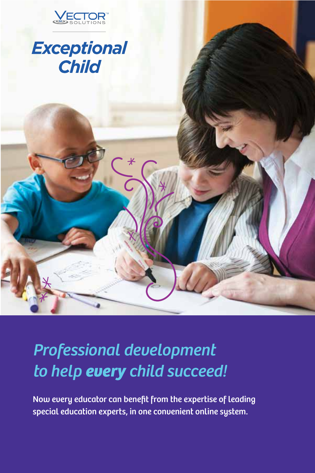

## **Exceptional Child**

*Professional development to help every child succeed!*

Now every educator can benefit from the expertise of leading special education experts, in one convenient online system.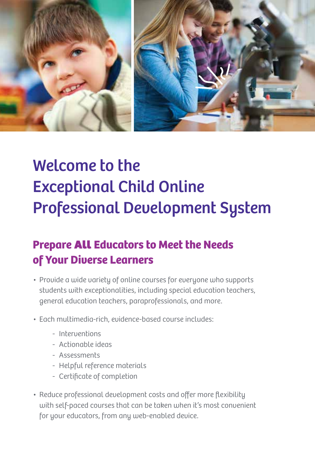

# Welcome to the Exceptional Child Online Professional Development System

#### **Prepare All Educators to Meet the Needs of Your Diverse Learners**

- Provide a wide variety of online courses for everyone who supports students with exceptionalities, including special education teachers, general education teachers, paraprofessionals, and more.
- Each multimedia-rich, evidence-based course includes:
	- Interventions
	- Actionable ideas
	- Assessments
	- Helpful reference materials
	- Certificate of completion
- Reduce professional development costs and offer more flexibility with self-paced courses that can be taken when it's most convenient for your educators, from any web-enabled device.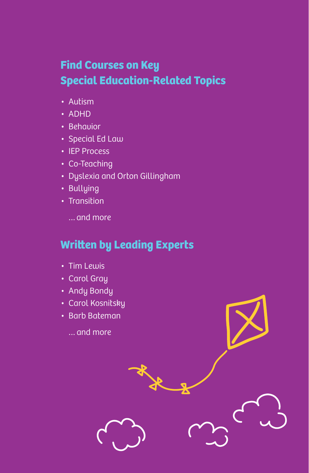#### **Find Courses on Key Special Education-Related Topics**

- Autism
- ADHD
- Behavior
- Special Ed Law
- IEP Process
- Co-Teaching
- Dyslexia and Orton Gillingham
- Bullying
- Transition
	- … and more

#### **Written by Leading Experts**

- Tim Lewis
- Carol Gray
- Andy Bondy
- Carol Kosnitsky
- Barb Bateman
	- … and more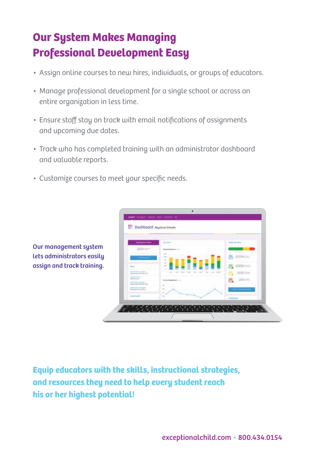### **Our System Makes Managing Professional Development Easy**

- Assign online courses to new hires, individuals, or groups of educators.
- Manage professional development for a single school or across an entire organization in less time.
- Ensure staff stay on track with email notifications of assignments and upcoming due dates.
- Track who has completed training with an administrator dashboard and valuable reports.
- Customize courses to meet your specific needs.



Our management system lets administrators easily assign and track training.

**Equip educators with the skills, instructional strategies, and resources they need to help every student reach his or her highest potential!**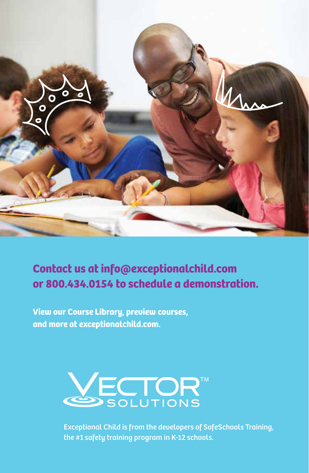

#### **Contact us at info@exceptionalchild.com or 800.434.0154 to schedule a demonstration.**

**View our Course Library, preview courses, and more at exceptionalchild.com.**



Exceptional Child is from the developers of SafeSchools Training, the #1 safety training program in K-12 schools.